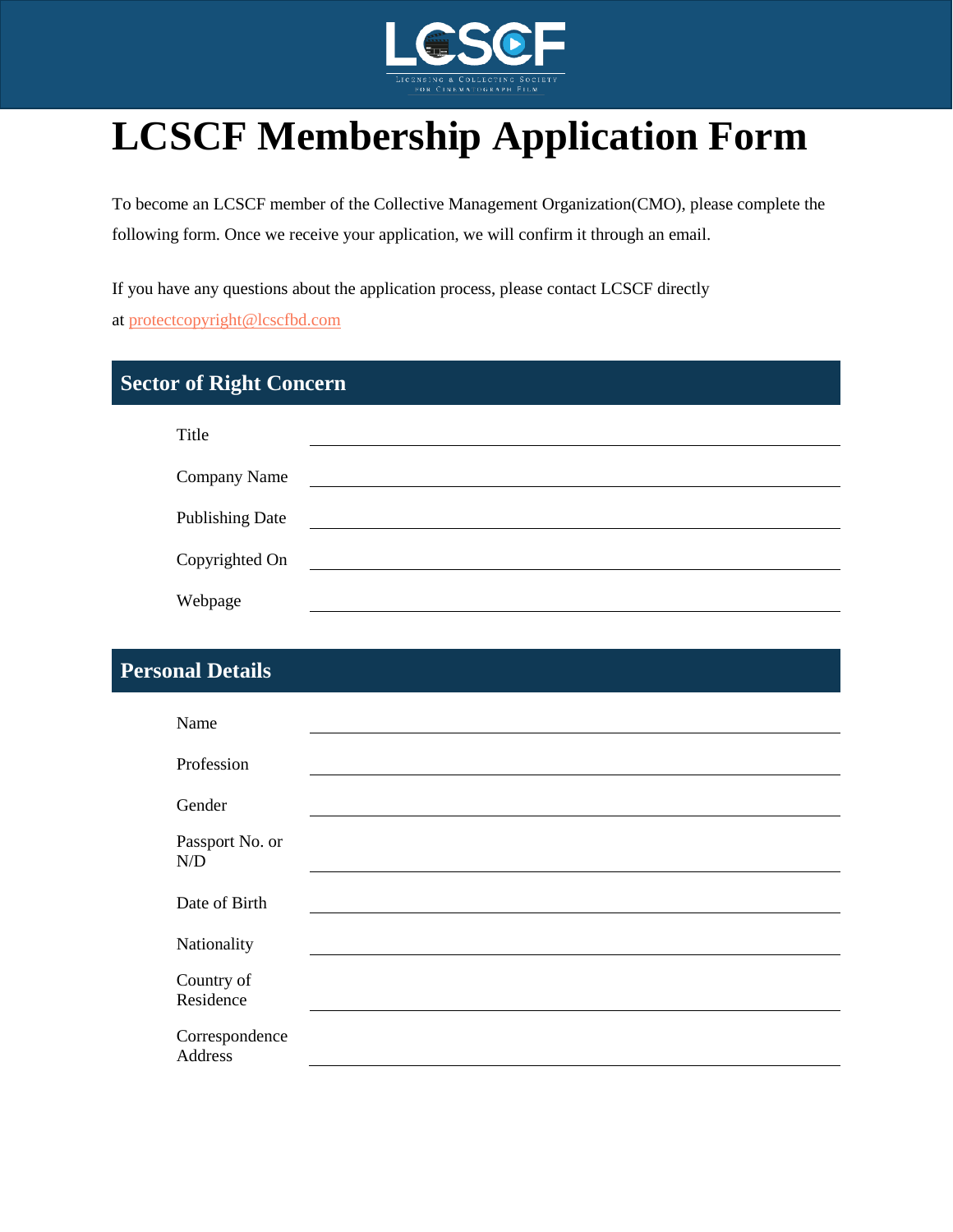

# **LCSCF Membership Application Form**

To become an LCSCF member of the Collective Management Organization(CMO), please complete the following form. Once we receive your application, we will confirm it through an email.

If you have any questions about the application process, please contact LCSCF directly at [protectcopyright@lcscfbd.com](mailto:protectcopyright@lcscfbd.com)

## **Sector of Right Concern**

| Title                  |  |
|------------------------|--|
| Company Name           |  |
| <b>Publishing Date</b> |  |
| Copyrighted On         |  |
| Webpage                |  |

## **Personal Details**

| Name                             |  |
|----------------------------------|--|
| Profession                       |  |
| Gender                           |  |
| Passport No. or<br>N/D           |  |
| Date of Birth                    |  |
| Nationality                      |  |
| Country of<br>Residence          |  |
| Correspondence<br><b>Address</b> |  |